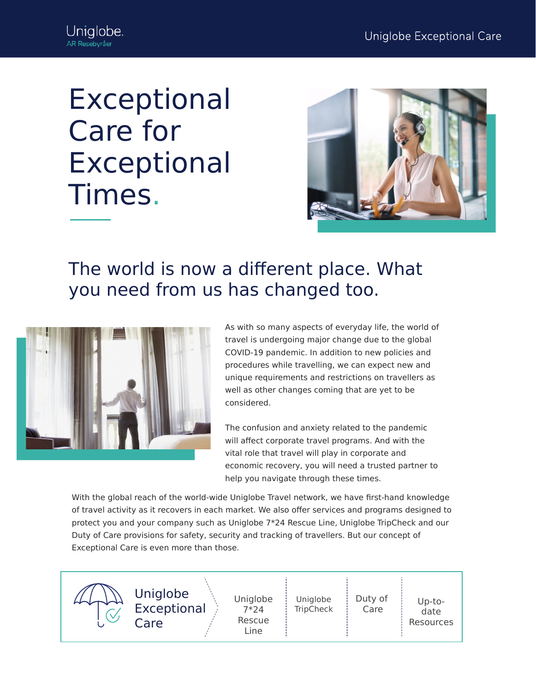## Exceptional Care for Exceptional Times.



## The world is now a different place. What you need from us has changed too.



As with so many aspects of everyday life, the world of travel is undergoing major change due to the global COVID-19 pandemic. In addition to new policies and procedures while travelling, we can expect new and unique requirements and restrictions on travellers as well as other changes coming that are yet to be considered.

The confusion and anxiety related to the pandemic will affect corporate travel programs. And with the vital role that travel will play in corporate and economic recovery, you will need a trusted partner to help you navigate through these times.

With the global reach of the world-wide Uniglobe Travel network, we have first-hand knowledge of travel activity as it recovers in each market. We also offer services and programs designed to protect you and your company such as Uniglobe 7\*24 Rescue Line, Uniglobe TripCheck and our Duty of Care provisions for safety, security and tracking of travellers. But our concept of Exceptional Care is even more than those.

Uniglobe Exceptional Care Uniglobe 7\*24 Rescue Line Uniglobe **TripCheck** Duty of Care Up-todate Resources